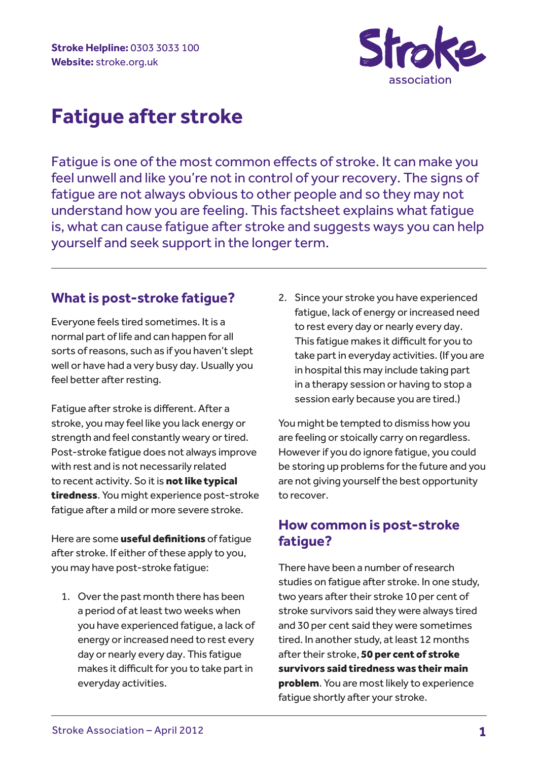

Fatigue is one of the most common effects of stroke. It can make you feel unwell and like you're not in control of your recovery. The signs of fatigue are not always obvious to other people and so they may not understand how you are feeling. This factsheet explains what fatigue is, what can cause fatigue after stroke and suggests ways you can help yourself and seek support in the longer term.

### **What is post-stroke fatigue?**

Everyone feels tired sometimes. It is a normal part of life and can happen for all sorts of reasons, such as if you haven't slept well or have had a very busy day. Usually you feel better after resting.

Fatigue after stroke is different. After a stroke, you may feel like you lack energy or strength and feel constantly weary or tired. Post-stroke fatigue does not always improve with rest and is not necessarily related to recent activity. So it is not like typical tiredness. You might experience post-stroke fatigue after a mild or more severe stroke.

Here are some useful definitions of fatique after stroke. If either of these apply to you, you may have post-stroke fatigue:

1. Over the past month there has been a period of at least two weeks when you have experienced fatigue, a lack of energy or increased need to rest every day or nearly every day. This fatigue makes it difficult for you to take part in everyday activities.

2. Since your stroke you have experienced fatigue, lack of energy or increased need to rest every day or nearly every day. This fatigue makes it difficult for you to take part in everyday activities. (If you are in hospital this may include taking part in a therapy session or having to stop a session early because you are tired.)

You might be tempted to dismiss how you are feeling or stoically carry on regardless. However if you do ignore fatigue, you could be storing up problems for the future and you are not giving yourself the best opportunity to recover.

### **How common is post-stroke fatigue?**

There have been a number of research studies on fatigue after stroke. In one study, two years after their stroke 10 per cent of stroke survivors said they were always tired and 30 per cent said they were sometimes tired. In another study, at least 12 months after their stroke, 50 per cent of stroke survivors said tiredness was their main problem. You are most likely to experience fatigue shortly after your stroke.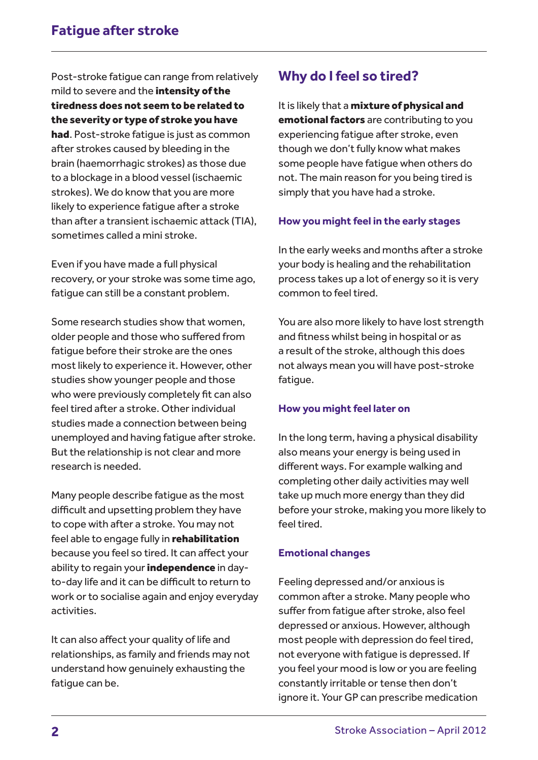Post-stroke fatigue can range from relatively mild to severe and the **intensity of the** tiredness does not seem to be related to the severity or type of stroke you have had. Post-stroke fatigue is just as common after strokes caused by bleeding in the brain (haemorrhagic strokes) as those due to a blockage in a blood vessel (ischaemic strokes). We do know that you are more likely to experience fatigue after a stroke than after a transient ischaemic attack (TIA), sometimes called a mini stroke.

Even if you have made a full physical recovery, or your stroke was some time ago, fatigue can still be a constant problem.

Some research studies show that women, older people and those who suffered from fatigue before their stroke are the ones most likely to experience it. However, other studies show younger people and those who were previously completely fit can also feel tired after a stroke. Other individual studies made a connection between being unemployed and having fatigue after stroke. But the relationship is not clear and more research is needed.

Many people describe fatigue as the most difficult and upsetting problem they have to cope with after a stroke. You may not feel able to engage fully in **rehabilitation** because you feel so tired. It can affect your ability to regain your *independence* in dayto-day life and it can be difficult to return to work or to socialise again and enjoy everyday activities.

It can also affect your quality of life and relationships, as family and friends may not understand how genuinely exhausting the fatigue can be.

# **Why do I feel so tired?**

It is likely that a mixture of physical and emotional factors are contributing to you experiencing fatigue after stroke, even though we don't fully know what makes some people have fatigue when others do not. The main reason for you being tired is simply that you have had a stroke.

#### **How you might feel in the early stages**

In the early weeks and months after a stroke your body is healing and the rehabilitation process takes up a lot of energy so it is very common to feel tired.

You are also more likely to have lost strength and fitness whilst being in hospital or as a result of the stroke, although this does not always mean you will have post-stroke fatigue.

#### **How you might feel later on**

In the long term, having a physical disability also means your energy is being used in different ways. For example walking and completing other daily activities may well take up much more energy than they did before your stroke, making you more likely to feel tired.

#### **Emotional changes**

Feeling depressed and/or anxious is common after a stroke. Many people who suffer from fatigue after stroke, also feel depressed or anxious. However, although most people with depression do feel tired, not everyone with fatigue is depressed. If you feel your mood is low or you are feeling constantly irritable or tense then don't ignore it. Your GP can prescribe medication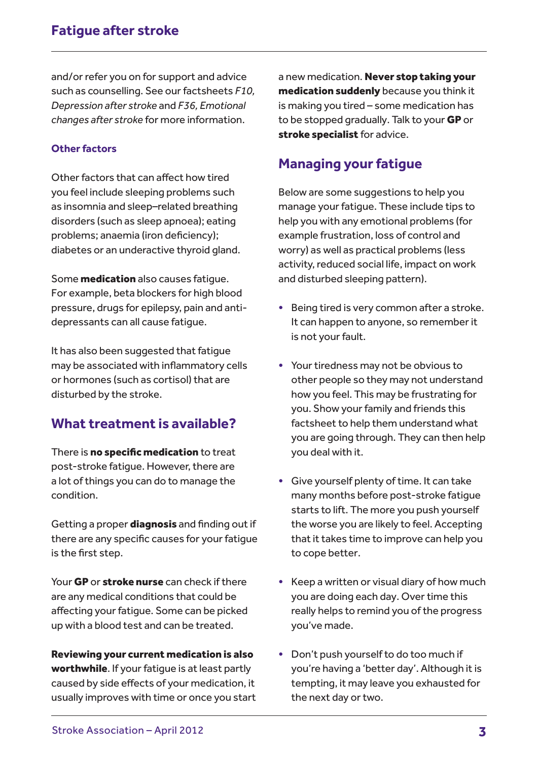and/or refer you on for support and advice such as counselling. See our factsheets *F10, Depression after stroke* and *F36, Emotional changes after stroke* for more information.

#### **Other factors**

Other factors that can affect how tired you feel include sleeping problems such as insomnia and sleep–related breathing disorders (such as sleep apnoea); eating problems; anaemia (iron deficiency); diabetes or an underactive thyroid gland.

Some **medication** also causes fatique. For example, beta blockers for high blood pressure, drugs for epilepsy, pain and antidepressants can all cause fatigue.

It has also been suggested that fatigue may be associated with inflammatory cells or hormones (such as cortisol) that are disturbed by the stroke.

### **What treatment is available?**

There is no specific medication to treat post-stroke fatigue. However, there are a lot of things you can do to manage the condition.

Getting a proper **diagnosis** and finding out if there are any specific causes for your fatigue is the first step.

Your GP or stroke nurse can check if there are any medical conditions that could be affecting your fatigue. Some can be picked up with a blood test and can be treated.

Reviewing your current medication is also worthwhile. If your fatique is at least partly caused by side effects of your medication, it usually improves with time or once you start a new medication. Never stop taking your medication suddenly because you think it is making you tired – some medication has to be stopped gradually. Talk to your **GP** or stroke specialist for advice.

### **Managing your fatigue**

Below are some suggestions to help you manage your fatigue. These include tips to help you with any emotional problems (for example frustration, loss of control and worry) as well as practical problems (less activity, reduced social life, impact on work and disturbed sleeping pattern).

- Being tired is very common after a stroke. It can happen to anyone, so remember it is not your fault.
- Your tiredness may not be obvious to other people so they may not understand how you feel. This may be frustrating for you. Show your family and friends this factsheet to help them understand what you are going through. They can then help you deal with it.
- Give yourself plenty of time. It can take many months before post-stroke fatigue starts to lift. The more you push yourself the worse you are likely to feel. Accepting that it takes time to improve can help you to cope better.
- Keep a written or visual diary of how much you are doing each day. Over time this really helps to remind you of the progress you've made.
- Don't push yourself to do too much if you're having a 'better day'. Although it is tempting, it may leave you exhausted for the next day or two.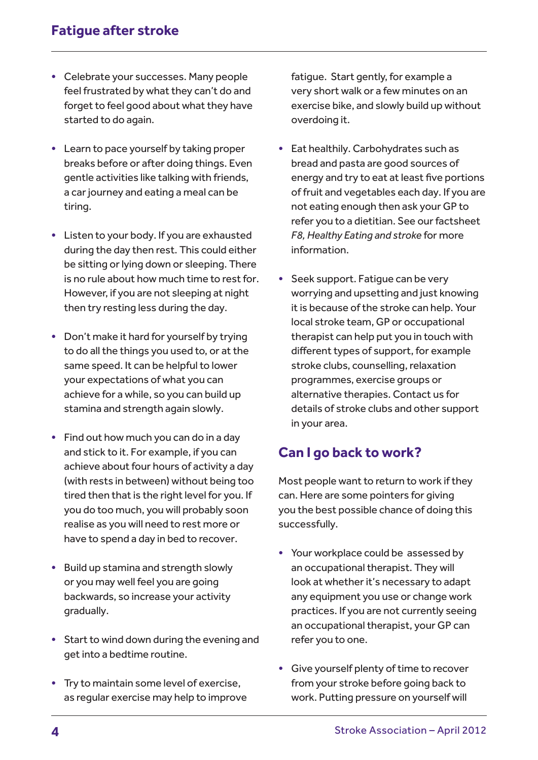- Celebrate your successes. Many people feel frustrated by what they can't do and forget to feel good about what they have started to do again.
- Learn to pace yourself by taking proper breaks before or after doing things. Even gentle activities like talking with friends, a car journey and eating a meal can be tiring.
- Listen to your body. If you are exhausted during the day then rest. This could either be sitting or lying down or sleeping. There is no rule about how much time to rest for. However, if you are not sleeping at night then try resting less during the day.
- Don't make it hard for yourself by trying to do all the things you used to, or at the same speed. It can be helpful to lower your expectations of what you can achieve for a while, so you can build up stamina and strength again slowly.
- Find out how much you can do in a day and stick to it. For example, if you can achieve about four hours of activity a day (with rests in between) without being too tired then that is the right level for you. If you do too much, you will probably soon realise as you will need to rest more or have to spend a day in bed to recover.
- Build up stamina and strength slowly or you may well feel you are going backwards, so increase your activity gradually.
- Start to wind down during the evening and get into a bedtime routine.
- Try to maintain some level of exercise, as regular exercise may help to improve

fatigue. Start gently, for example a very short walk or a few minutes on an exercise bike, and slowly build up without overdoing it.

- Eat healthily. Carbohydrates such as bread and pasta are good sources of energy and try to eat at least five portions of fruit and vegetables each day. If you are not eating enough then ask your GP to refer you to a dietitian. See our factsheet *F8, Healthy Eating and stroke* for more information.
- Seek support. Fatigue can be very worrying and upsetting and just knowing it is because of the stroke can help. Your local stroke team, GP or occupational therapist can help put you in touch with different types of support, for example stroke clubs, counselling, relaxation programmes, exercise groups or alternative therapies. Contact us for details of stroke clubs and other support in your area.

# **Can I go back to work?**

Most people want to return to work if they can. Here are some pointers for giving you the best possible chance of doing this successfully.

- Your workplace could be assessed by an occupational therapist. They will look at whether it's necessary to adapt any equipment you use or change work practices. If you are not currently seeing an occupational therapist, your GP can refer you to one.
- Give yourself plenty of time to recover from your stroke before going back to work. Putting pressure on yourself will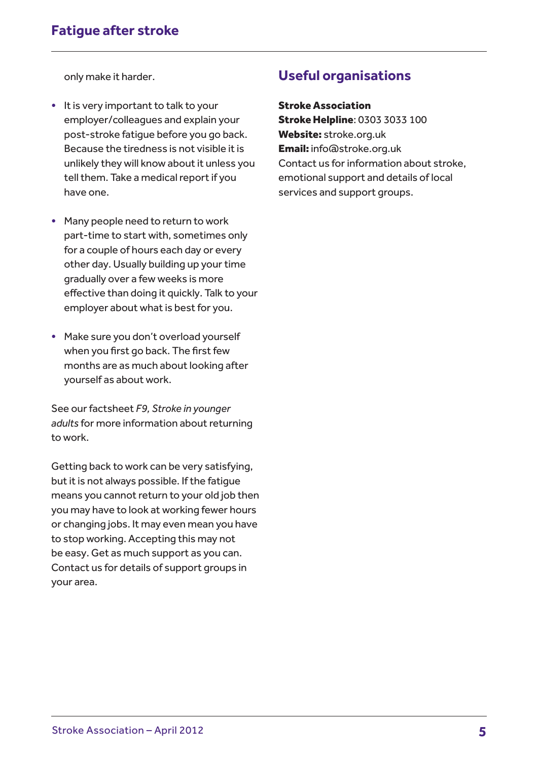only make it harder.

- It is very important to talk to your employer/colleagues and explain your post-stroke fatigue before you go back. Because the tiredness is not visible it is unlikely they will know about it unless you tell them. Take a medical report if you have one.
- Many people need to return to work part-time to start with, sometimes only for a couple of hours each day or every other day. Usually building up your time gradually over a few weeks is more effective than doing it quickly. Talk to your employer about what is best for you.
- Make sure you don't overload yourself when you first go back. The first few months are as much about looking after yourself as about work.

See our factsheet *F9, Stroke in younger adults* for more information about returning to work.

Getting back to work can be very satisfying, but it is not always possible. If the fatigue means you cannot return to your old job then you may have to look at working fewer hours or changing jobs. It may even mean you have to stop working. Accepting this may not be easy. Get as much support as you can. Contact us for details of support groups in your area.

### **Useful organisations**

Stroke Association

Stroke Helpline: 0303 3033 100 Website: stroke.org.uk Email: info@stroke.org.uk Contact us for information about stroke, emotional support and details of local services and support groups.